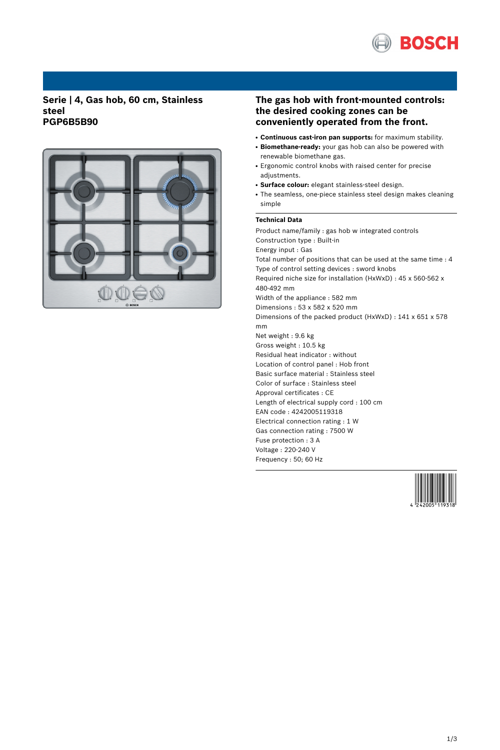

## **Serie | 4, Gas hob, 60 cm, Stainless steel PGP6B5B90**



# **The gas hob with front-mounted controls: the desired cooking zones can be conveniently operated from the front.**

- **Continuous cast-iron pan supports:** for maximum stability.
- Biomethane-ready: your gas hob can also be powered with renewable biomethane gas.
- Ergonomic control knobs with raised center for precise adjustments.
- **Surface colour:** elegant stainless-steel design.
- The seamless, one-piece stainless steel design makes cleaning simple

### **Technical Data**

Product name/family : gas hob w integrated controls Construction type : Built-in Energy input : Gas Total number of positions that can be used at the same time : 4 Type of control setting devices : sword knobs Required niche size for installation (HxWxD) : 45 x 560-562 x 480-492 mm Width of the appliance : 582 mm Dimensions : 53 x 582 x 520 mm Dimensions of the packed product (HxWxD) : 141 x 651 x 578 mm Net weight : 9.6 kg Gross weight : 10.5 kg Residual heat indicator : without Location of control panel : Hob front Basic surface material : Stainless steel Color of surface : Stainless steel Approval certificates : CE Length of electrical supply cord : 100 cm EAN code : 4242005119318 Electrical connection rating : 1 W Gas connection rating : 7500 W Fuse protection : 3 A Voltage : 220-240 V Frequency : 50; 60 Hz

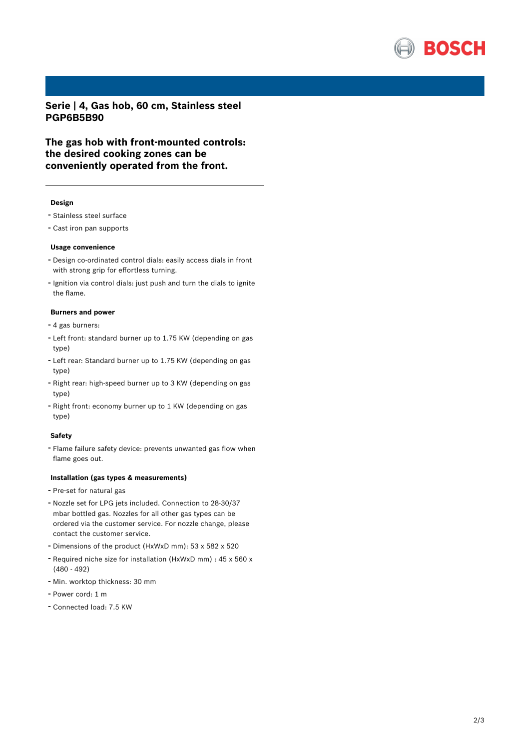

**Serie | 4, Gas hob, 60 cm, Stainless steel PGP6B5B90**

**The gas hob with front-mounted controls: the desired cooking zones can be conveniently operated from the front.**

#### **Design**

- Stainless steel surface
- Cast iron pan supports

#### **Usage convenience**

- Design co-ordinated control dials: easily access dials in front with strong grip for effortless turning.
- Ignition via control dials: just push and turn the dials to ignite the flame.

## **Burners and power**

- <sup>4</sup> gas burners:
- Left front: standard burner up to 1.75 KW (depending on gas type)
- Left rear: Standard burner up to 1.75 KW (depending on gas type)
- Right rear: high-speed burner up to <sup>3</sup> KW (depending on gas type)
- Right front: economy burner up to <sup>1</sup> KW (depending on gas type)

### **Safety**

- Flame failure safety device: prevents unwanted gas flow when flame goes out.

## **Installation (gas types & measurements)**

- Pre-set for natural gas
- Nozzle set for LPG jets included. Connection to 28-30/37 mbar bottled gas. Nozzles for all other gas types can be ordered via the customer service. For nozzle change, please contact the customer service.
- Dimensions of the product (HxWxD mm): <sup>53</sup> <sup>x</sup> <sup>582</sup> <sup>x</sup> <sup>520</sup>
- Required niche size for installation (HxWxD mm) : <sup>45</sup> <sup>x</sup> <sup>560</sup> <sup>x</sup> (480 - 492)
- Min. worktop thickness: <sup>30</sup> mm
- Power cord: <sup>1</sup> <sup>m</sup>
- Connected load: 7.5 KW